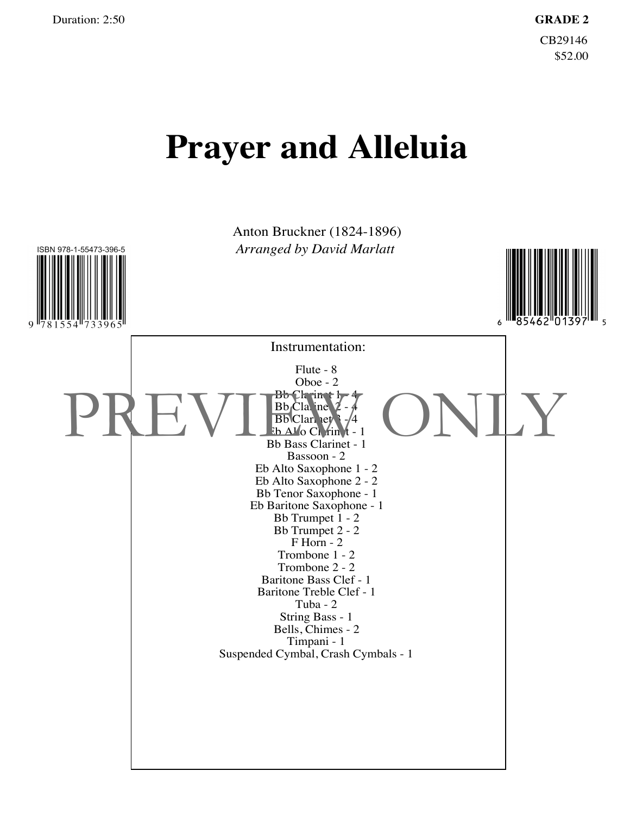## **Prayer and Alleluia**

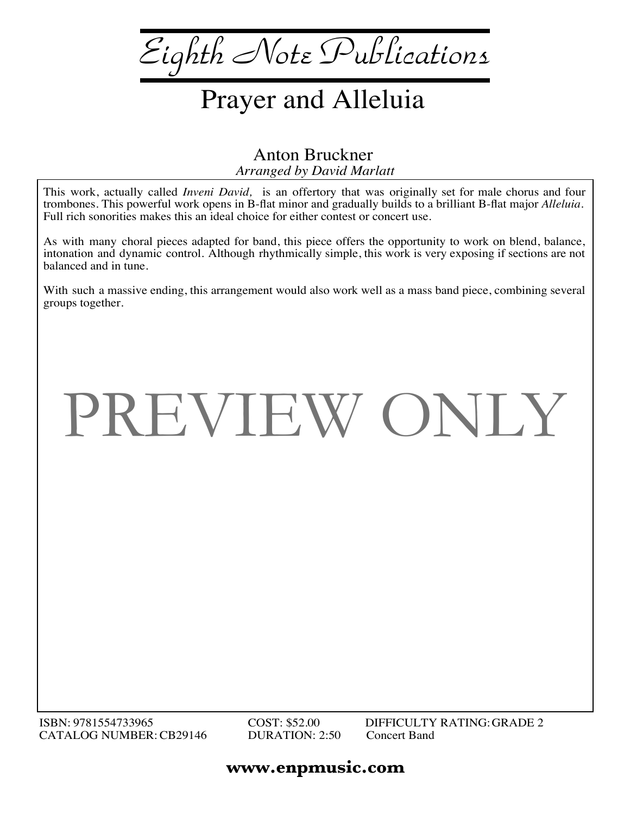*Eighth Note Publications*

## Prayer and Alleluia

*Arranged by David Marlatt* Anton Bruckner

This work, actually called *Inveni David,* is an offertory that was originally set for male chorus and four trombones. This powerful work opens in B-flat minor and gradually builds to a brilliant B-flat major *Alleluia*. Full rich sonorities makes this an ideal choice for either contest or concert use.

As with many choral pieces adapted for band, this piece offers the opportunity to work on blend, balance, intonation and dynamic control. Although rhythmically simple, this work is very exposing if sections are not balanced and in tune.

With such a massive ending, this arrangement would also work well as a mass band piece, combining several groups together.

## PREVIEW ONLY

## **www.enpmusic.com**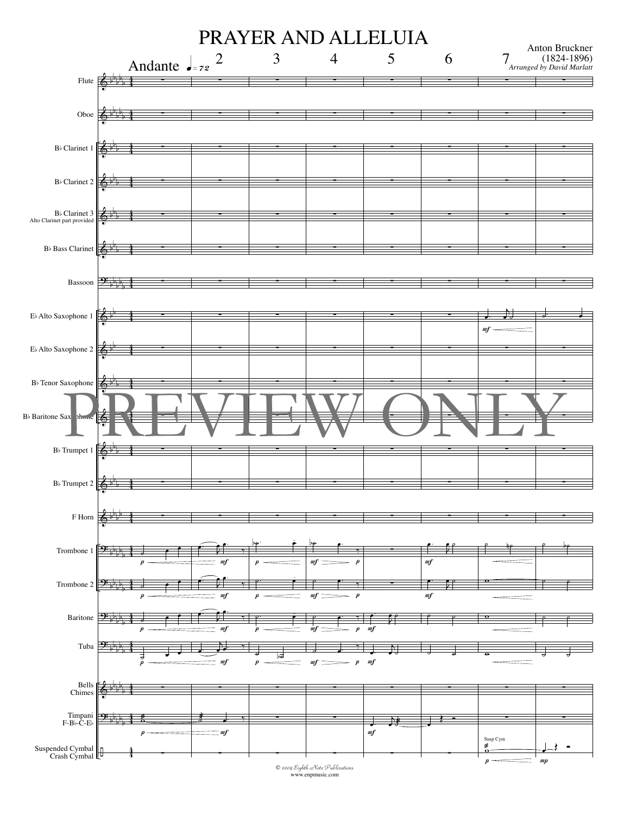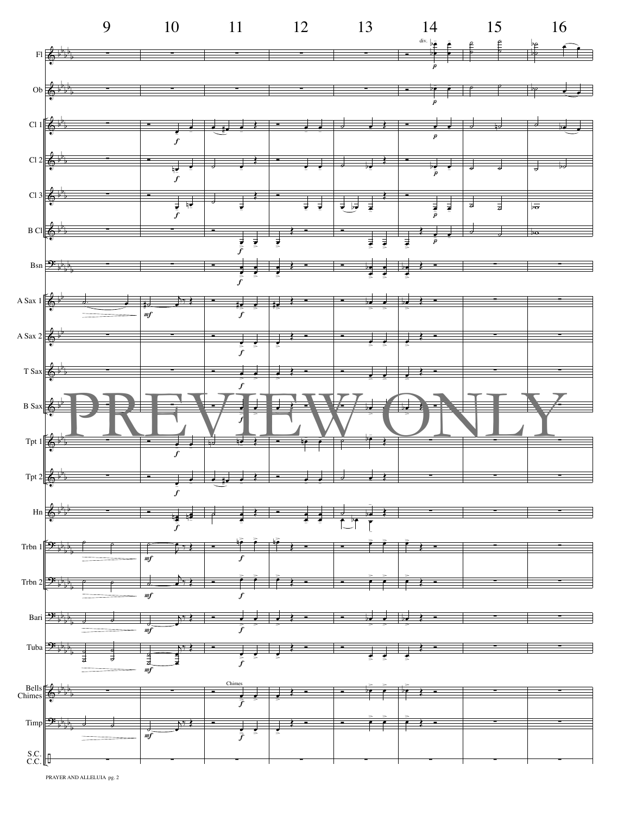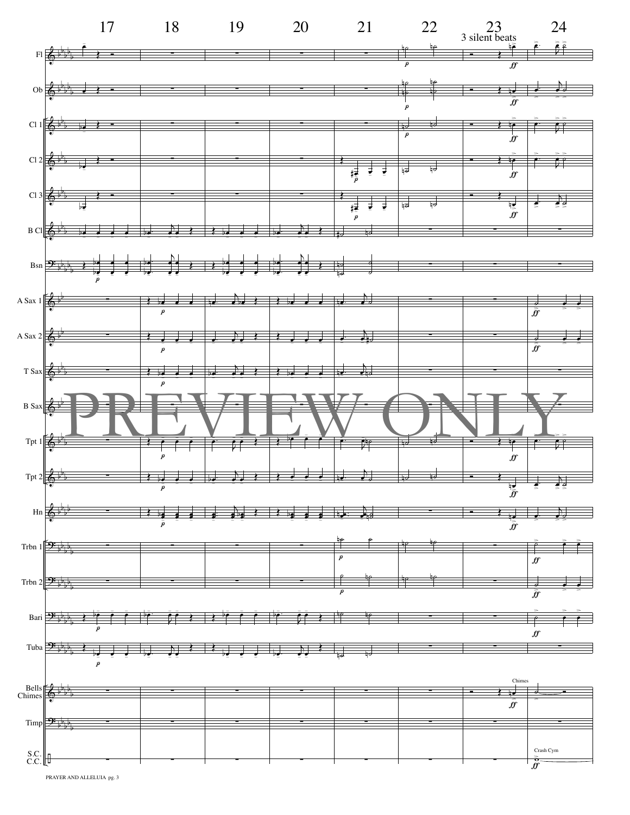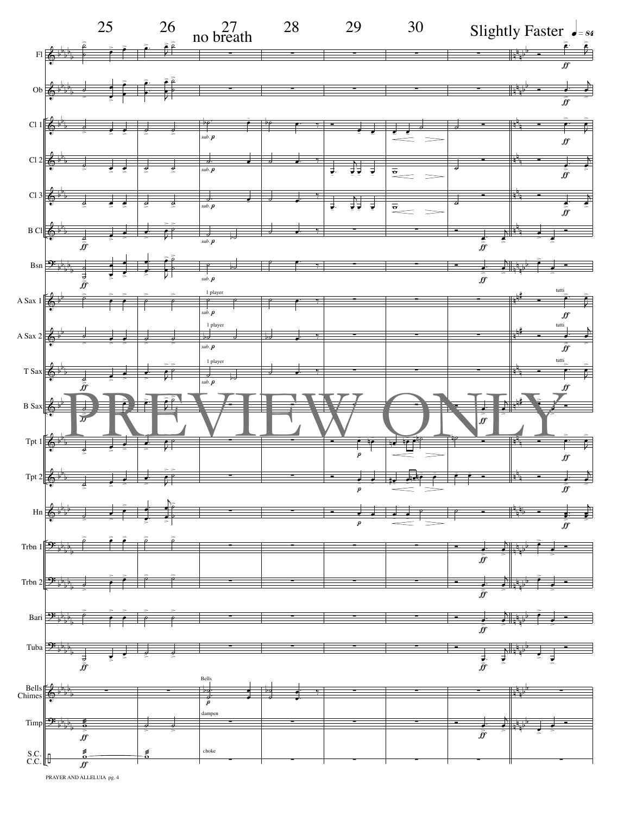

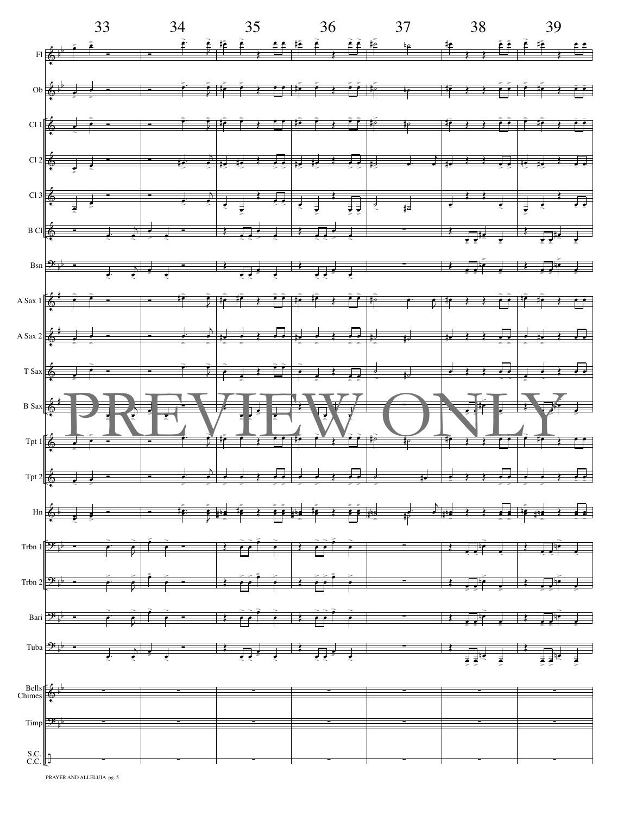